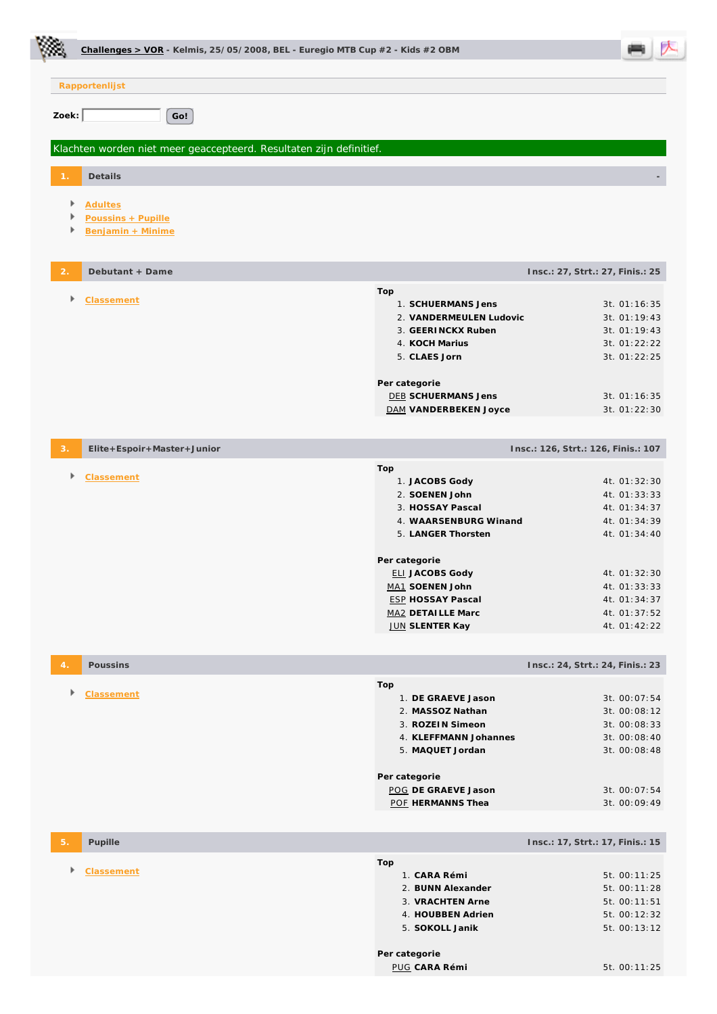|                | Challenges > VOR - Kelmis, 25/05/2008, BEL - Euregio MTB Cup $#2$ - Kids $#2$ OBM |                                        |                                     |
|----------------|-----------------------------------------------------------------------------------|----------------------------------------|-------------------------------------|
|                | Rapportenlijst                                                                    |                                        |                                     |
| Zoek:          | Go!                                                                               |                                        |                                     |
|                | Klachten worden niet meer geaccepteerd. Resultaten zijn definitief.               |                                        |                                     |
|                | Details                                                                           |                                        |                                     |
|                |                                                                                   |                                        |                                     |
| Þ              | <b>Adultes</b><br>Poussins + Pupille                                              |                                        |                                     |
| Þ              | Benjamin + Minime                                                                 |                                        |                                     |
| $\overline{2}$ | Debutant + Dame                                                                   |                                        | Insc.: 27, Strt.: 27, Finis.: 25    |
| Þ              | Classement                                                                        | Top<br>1. SCHUERMANS Jens              | 3t. 01:16:35                        |
|                |                                                                                   | 2. VANDERMEULEN Ludovic                | 3t. 01:19:43                        |
|                |                                                                                   | 3. GEERINCKX Ruben                     | 3t. 01:19:43                        |
|                |                                                                                   | 4. KOCH Marius<br>5. CLAES Jorn        | 3t. 01:22:22<br>3t. 01:22:25        |
|                |                                                                                   |                                        |                                     |
|                |                                                                                   | Per categorie                          |                                     |
|                |                                                                                   | <b>DEB SCHUERMANS Jens</b>             | 3t. 01:16:35                        |
|                |                                                                                   | DAM VANDERBEKEN Joyce                  | 3t. 01:22:30                        |
| 3.             | Elite+Espoir+Master+Junior                                                        |                                        | Insc.: 126, Strt.: 126, Finis.: 107 |
| Þ              | <b>Classement</b>                                                                 | Top                                    |                                     |
|                |                                                                                   | 1. JACOBS Gody<br>2. SOENEN John       | 4t. 01:32:30<br>4t. 01:33:33        |
|                |                                                                                   | 3. HOSSAY Pascal                       | 4t. 01:34:37                        |
|                |                                                                                   | 4. WAARSENBURG Winand                  | 4t. 01:34:39                        |
|                |                                                                                   | 5. LANGER Thorsten                     | 4t. 01:34:40                        |
|                |                                                                                   | Per categorie                          |                                     |
|                |                                                                                   | <b>ELI JACOBS Gody</b>                 | 4t. 01:32:30                        |
|                |                                                                                   | MA1 SOENEN John                        | 4t. 01:33:33                        |
|                |                                                                                   | <b>ESP HOSSAY Pascal</b>               | 4t. 01:34:37                        |
|                |                                                                                   | MA2 DETAILLE Marc<br>JUN SLENTER Kay   | 4t. 01:37:52<br>4t. 01:42:22        |
|                |                                                                                   |                                        |                                     |
| 4              | Poussins                                                                          |                                        | Insc.: 24, Strt.: 24, Finis.: 23    |
|                | <b>Classement</b>                                                                 | Top                                    |                                     |
|                |                                                                                   | 1. DE GRAEVE Jason<br>2. MASSOZ Nathan | 3t. 00:07:54<br>3t. 00:08:12        |
|                |                                                                                   | 3. ROZEIN Simeon                       | 3t. 00:08:33                        |
|                |                                                                                   | 4. KLEFFMANN Johannes                  | 3t. 00:08:40                        |
|                |                                                                                   | 5. MAQUET Jordan                       | 3t. 00:08:48                        |
|                |                                                                                   | Per categorie                          |                                     |
|                |                                                                                   | POG DE GRAEVE Jason                    | 3t. 00:07:54                        |
|                |                                                                                   | POF HERMANNS Thea                      | 3t. 00:09:49                        |
| 5.             | Pupille                                                                           |                                        | Insc.: 17, Strt.: 17, Finis.: 15    |
|                |                                                                                   | Top                                    |                                     |
| Þ              | Classement                                                                        | 1. CARA Rémi                           | 5t. 00:11:25                        |
|                |                                                                                   | 2. BUNN Alexander                      | 5t. 00:11:28                        |
|                |                                                                                   | 3. VRACHTEN Arne<br>4. HOUBBEN Adrien  | 5t. 00:11:51<br>5t. 00:12:32        |
|                |                                                                                   | 5. SOKOLL Janik                        | 5t. 00:13:12                        |
|                |                                                                                   |                                        |                                     |
|                |                                                                                   | Per categorie<br>PUG CARA Rémi         | 5t. 00:11:25                        |

E.